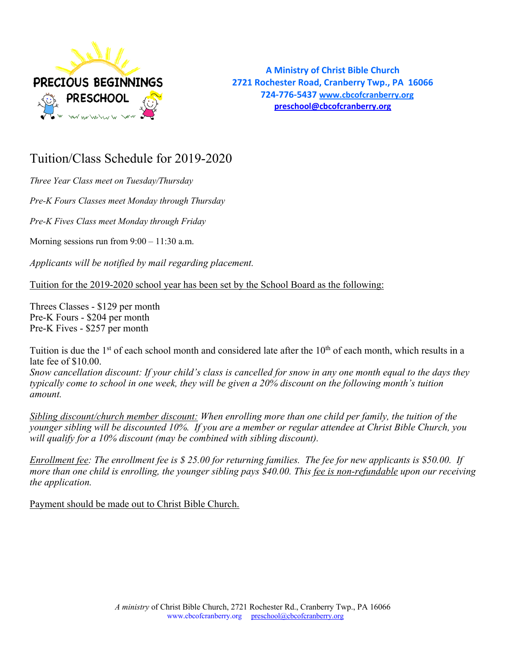

**A Ministry of Christ Bible Church 2721 Rochester Road, Cranberry Twp., PA 16066 724-776-5437 www.cbcofcranberry.org preschool@cbcofcranberry.org**

# Tuition/Class Schedule for 2019-2020

*Three Year Class meet on Tuesday/Thursday*

*Pre-K Fours Classes meet Monday through Thursday*

*Pre-K Fives Class meet Monday through Friday*

Morning sessions run from  $9:00 - 11:30$  a.m.

*Applicants will be notified by mail regarding placement.*

Tuition for the 2019-2020 school year has been set by the School Board as the following:

Threes Classes - \$129 per month Pre-K Fours - \$204 per month Pre-K Fives - \$257 per month

Tuition is due the 1<sup>st</sup> of each school month and considered late after the 10<sup>th</sup> of each month, which results in a late fee of \$10.00.

*Snow cancellation discount: If your child's class is cancelled for snow in any one month equal to the days they typically come to school in one week, they will be given a 20% discount on the following month's tuition amount.* 

*Sibling discount/church member discount: When enrolling more than one child per family, the tuition of the younger sibling will be discounted 10%. If you are a member or regular attendee at Christ Bible Church, you will qualify for a 10% discount (may be combined with sibling discount).*

*Enrollment fee: The enrollment fee is \$ 25.00 for returning families. The fee for new applicants is \$50.00. If more than one child is enrolling, the younger sibling pays \$40.00. This fee is non-refundable upon our receiving the application.* 

Payment should be made out to Christ Bible Church.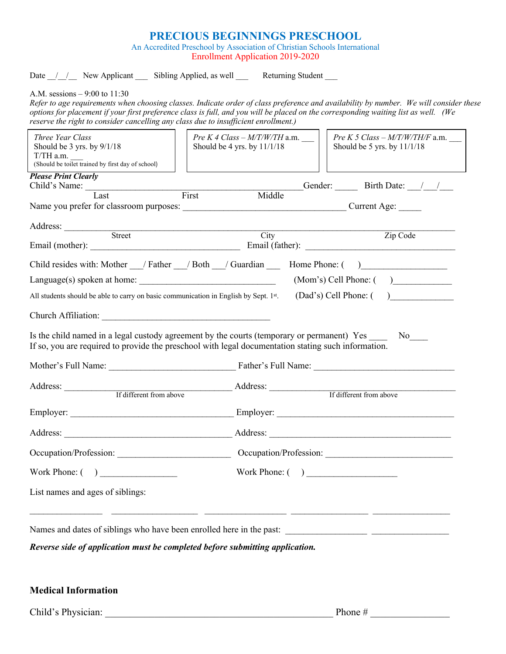# **PRECIOUS BEGINNINGS PRESCHOOL**

An Accredited Preschool by Association of Christian Schools International Enrollment Application 2019-2020

Date / / New Applicant Sibling Applied, as well Returning Student

A.M. sessions – 9:00 to 11:30

*Refer to age requirements when choosing classes. Indicate order of class preference and availability by number. We will consider these options for placement if your first preference class is full, and you will be placed on the corresponding waiting list as well. (We reserve the right to consider cancelling any class due to insufficient enrollment.)* 

| Three Year Class<br>Should be 3 yrs. by 9/1/18<br>$T/TH$ a.m. $\_\_$<br>(Should be toilet trained by first day of school)                                                                                                            |  | Pre K 4 Class $-M/T/W/TH$ a.m.<br>Should be 4 yrs. by 11/1/18 | <i>Pre K 5 Class – M/T/W/TH/F a.m.</i><br>Should be 5 yrs. by 11/1/18 |
|--------------------------------------------------------------------------------------------------------------------------------------------------------------------------------------------------------------------------------------|--|---------------------------------------------------------------|-----------------------------------------------------------------------|
| <b>Please Print Clearly</b>                                                                                                                                                                                                          |  |                                                               |                                                                       |
| Child's Name: Last First                                                                                                                                                                                                             |  | Middle                                                        | Gender: Birth Date: / /                                               |
|                                                                                                                                                                                                                                      |  |                                                               |                                                                       |
| Address: <u>Street Street Street Street Street Street Street Street Street Street Street Street Street Street Street Street Street Street Street Street Street Street Street Street Street Street Street Street Street Street St</u> |  |                                                               |                                                                       |
|                                                                                                                                                                                                                                      |  | City                                                          | Zip Code                                                              |
| Child resides with: Mother __/ Father __/ Both __/ Guardian _____ Home Phone: ()                                                                                                                                                     |  |                                                               |                                                                       |
| $Language(s)$ spoken at home: $\frac{1}{s}$                                                                                                                                                                                          |  |                                                               | $(Mom's)$ Cell Phone: $($ $)$                                         |
| All students should be able to carry on basic communication in English by Sept. 1st.                                                                                                                                                 |  |                                                               | (Dad's) Cell Phone: ( )                                               |
| Church Affiliation:                                                                                                                                                                                                                  |  |                                                               |                                                                       |
| Is the child named in a legal custody agreement by the courts (temporary or permanent) Yes No<br>If so, you are required to provide the preschool with legal documentation stating such information.                                 |  |                                                               |                                                                       |
|                                                                                                                                                                                                                                      |  |                                                               |                                                                       |
| Address:                                                                                                                                                                                                                             |  |                                                               |                                                                       |
| If different from above                                                                                                                                                                                                              |  |                                                               | If different from above                                               |
|                                                                                                                                                                                                                                      |  |                                                               |                                                                       |
|                                                                                                                                                                                                                                      |  |                                                               |                                                                       |
| Occupation/Profession: Cocupation/Profession: Cocupation/Profession:                                                                                                                                                                 |  |                                                               |                                                                       |
| Work Phone: $($ $)$                                                                                                                                                                                                                  |  |                                                               |                                                                       |
| List names and ages of siblings:                                                                                                                                                                                                     |  |                                                               |                                                                       |
|                                                                                                                                                                                                                                      |  |                                                               |                                                                       |
| Reverse side of application must be completed before submitting application.                                                                                                                                                         |  |                                                               |                                                                       |

## **Medical Information**

Child's Physician: \_\_\_\_\_\_\_\_\_\_\_\_\_\_\_\_\_\_\_\_\_\_\_\_\_\_\_\_\_\_\_\_\_\_\_\_\_\_\_\_\_\_\_\_\_\_ Phone # \_\_\_\_\_\_\_\_\_\_\_\_\_\_\_\_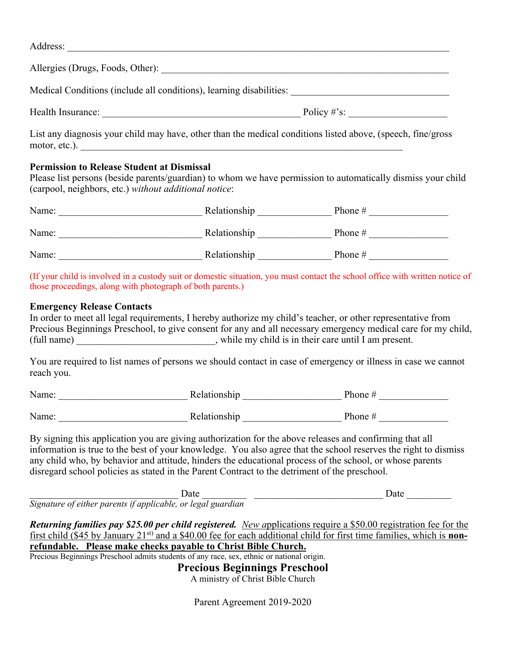| Address:                                                                                                                                                              |                             |
|-----------------------------------------------------------------------------------------------------------------------------------------------------------------------|-----------------------------|
| Allergies (Drugs, Foods, Other): 2008. [2010] 2012 2023. [2010] 2012 2023. [2010] 2023. [2010] 2023. [2010] 20                                                        |                             |
| Medical Conditions (include all conditions), learning disabilities:                                                                                                   |                             |
| Health Insurance:                                                                                                                                                     | Policy #'s: $\qquad \qquad$ |
| List any diagnosis your child may have, other than the medical conditions listed above, (speech, fine/gross<br>motor, etc.).                                          |                             |
| <b>Permission to Release Student at Dismissal</b>                                                                                                                     |                             |
| Please list persons (beside parents/guardian) to whom we have permission to automatically dismiss your child<br>(carpool, neighbors, etc.) without additional notice: |                             |

| Name: | Relationship | Phone $#$ |
|-------|--------------|-----------|
| Name: | Relationship | Phone $#$ |
| Name: | Relationship | Phone $#$ |

(If your child is involved in a custody suit or domestic situation, you must contact the school office with written notice of those proceedings, along with photograph of both parents.)

## **Emergency Release Contacts**

In order to meet all legal requirements, I hereby authorize my child's teacher, or other representative from Precious Beginnings Preschool, to give consent for any and all necessary emergency medical care for my child, (full name) \_\_\_\_\_\_\_\_\_\_\_\_\_\_\_\_\_\_\_\_\_\_\_\_\_\_\_\_, while my child is in their care until I am present.

You are required to list names of persons we should contact in case of emergency or illness in case we cannot reach you.

| Name: | Relationship | Phone $#$ |
|-------|--------------|-----------|
|       |              |           |
| Name: | Relationship | Phone $#$ |

By signing this application you are giving authorization for the above releases and confirming that all information is true to the best of your knowledge. You also agree that the school reserves the right to dismiss any child who, by behavior and attitude, hinders the educational process of the school, or whose parents disregard school policies as stated in the Parent Contract to the detriment of the preschool.

\_\_\_\_\_\_\_\_\_\_\_\_\_\_\_\_\_\_\_\_\_\_\_\_\_\_\_\_\_\_ Date \_\_\_\_\_\_\_\_\_ \_\_\_\_\_\_\_\_\_\_\_\_\_\_\_\_\_\_\_\_\_\_\_\_\_\_ Date \_\_\_\_\_\_\_\_\_ *Signature of either parents if applicable, or legal guardian*

*Returning families pay \$25.00 per child registered. New a*pplications require a \$50.00 registration fee for the first child (\$45 by January 21st) and a \$40.00 fee for each additional child for first time families, which is **nonrefundable. Please make checks payable to Christ Bible Church.** Precious Beginnings Preschool admits students of any race, sex, ethnic or national origin.

**Precious Beginnings Preschool**

A ministry of Christ Bible Church

Parent Agreement 2019-2020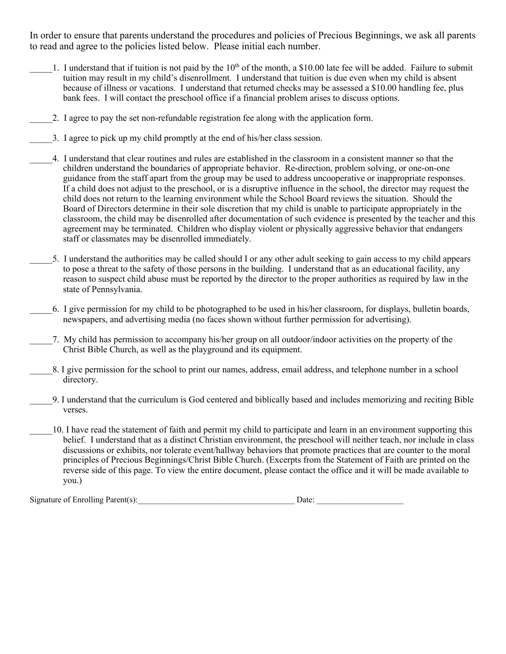In order to ensure that parents understand the procedures and policies of Precious Beginnings, we ask all parents to read and agree to the policies listed below. Please initial each number.

- 1. I understand that if tuition is not paid by the  $10<sup>th</sup>$  of the month, a \$10.00 late fee will be added. Failure to submit tuition may result in my child's disenrollment. I understand that tuition is due even when my child is absent because of illness or vacations. I understand that returned checks may be assessed a \$10.00 handling fee, plus bank fees. I will contact the preschool office if a financial problem arises to discuss options.
	- \_\_\_\_\_2. I agree to pay the set non-refundable registration fee along with the application form.
- \_\_\_\_\_3. I agree to pick up my child promptly at the end of his/her class session.
	- \_\_\_\_\_4. I understand that clear routines and rules are established in the classroom in a consistent manner so that the children understand the boundaries of appropriate behavior. Re-direction, problem solving, or one-on-one guidance from the staff apart from the group may be used to address uncooperative or inappropriate responses. If a child does not adjust to the preschool, or is a disruptive influence in the school, the director may request the child does not return to the learning environment while the School Board reviews the situation. Should the Board of Directors determine in their sole discretion that my child is unable to participate appropriately in the classroom, the child may be disenrolled after documentation of such evidence is presented by the teacher and this agreement may be terminated. Children who display violent or physically aggressive behavior that endangers staff or classmates may be disenrolled immediately.
	- \_\_\_\_\_5. I understand the authorities may be called should I or any other adult seeking to gain access to my child appears to pose a threat to the safety of those persons in the building. I understand that as an educational facility, any reason to suspect child abuse must be reported by the director to the proper authorities as required by law in the state of Pennsylvania.
		- \_\_\_\_\_6. I give permission for my child to be photographed to be used in his/her classroom, for displays, bulletin boards, newspapers, and advertising media (no faces shown without further permission for advertising).
- \_\_\_\_\_7. My child has permission to accompany his/her group on all outdoor/indoor activities on the property of the Christ Bible Church, as well as the playground and its equipment.
- \_\_\_\_\_8. I give permission for the school to print our names, address, email address, and telephone number in a school directory.
- \_\_\_\_\_9. I understand that the curriculum is God centered and biblically based and includes memorizing and reciting Bible verses.
- \_\_\_\_\_10. I have read the statement of faith and permit my child to participate and learn in an environment supporting this belief. I understand that as a distinct Christian environment, the preschool will neither teach, nor include in class discussions or exhibits, nor tolerate event/hallway behaviors that promote practices that are counter to the moral principles of Precious Beginnings/Christ Bible Church. (Excerpts from the Statement of Faith are printed on the reverse side of this page. To view the entire document, please contact the office and it will be made available to you.)

Signature of Enrolling Parent(s):\_\_\_\_\_\_\_\_\_\_\_\_\_\_\_\_\_\_\_\_\_\_\_\_\_\_\_\_\_\_\_\_\_\_\_\_\_\_ Date: \_\_\_\_\_\_\_\_\_\_\_\_\_\_\_\_\_\_\_\_\_

| м<br>٢ |  |
|--------|--|
|        |  |